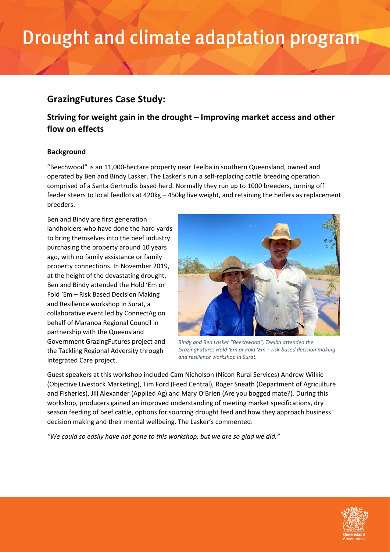# Drought and climate adaptation program

## **GrazingFutures Case Study:**

## **Striving for weight gain in the drought – Improving market access and other flow on effects**

### **Background**

"Beechwood" is an 11,000-hectare property near Teelba in southern Queensland, owned and operated by Ben and Bindy Lasker. The Lasker's run a self-replacing cattle breeding operation comprised of a Santa Gertrudis based herd. Normally they run up to 1000 breeders, turning off feeder steers to local feedlots at 420kg – 450kg live weight, and retaining the heifers as replacement breeders.

Ben and Bindy are first generation landholders who have done the hard yards to bring themselves into the beef industry purchasing the property around 10 years ago, with no family assistance or family property connections. In November 2019, at the height of the devastating drought, Ben and Bindy attended the Hold 'Em or Fold 'Em – Risk Based Decision Making and Resilience workshop in Surat, a collaborative event led by ConnectAg on behalf of Maranoa Regional Council in partnership with the Queensland Government GrazingFutures project and the Tackling Regional Adversity through Integrated Care project.



*Bindy and Ben Lasker "Beechwood", Teelba attended the GrazingFutures Hold 'Em or Fold 'Em – risk-based decision making and resilience workshop in Surat.*

Guest speakers at this workshop included Cam Nicholson (Nicon Rural Services) Andrew Wilkie (Objective Livestock Marketing), Tim Ford (Feed Central), Roger Sneath (Department of Agriculture and Fisheries), Jill Alexander (Applied Ag) and Mary O'Brien (Are you bogged mate?). During this workshop, producers gained an improved understanding of meeting market specifications, dry season feeding of beef cattle, options for sourcing drought feed and how they approach business decision making and their mental wellbeing. The Lasker's commented:

*"We could so easily have not gone to this workshop, but we are so glad we did."*

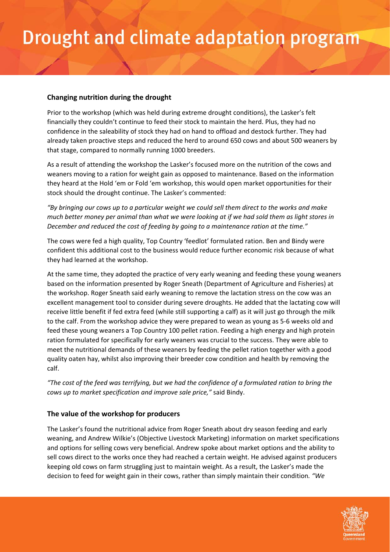### **Changing nutrition during the drought**

Prior to the workshop (which was held during extreme drought conditions), the Lasker's felt financially they couldn't continue to feed their stock to maintain the herd. Plus, they had no confidence in the saleability of stock they had on hand to offload and destock further. They had already taken proactive steps and reduced the herd to around 650 cows and about 500 weaners by that stage, compared to normally running 1000 breeders.

As a result of attending the workshop the Lasker's focused more on the nutrition of the cows and weaners moving to a ration for weight gain as opposed to maintenance. Based on the information they heard at the Hold 'em or Fold 'em workshop, this would open market opportunities for their stock should the drought continue. The Lasker's commented:

*"By bringing our cows up to a particular weight we could sell them direct to the works and make much better money per animal than what we were looking at if we had sold them as light stores in December and reduced the cost of feeding by going to a maintenance ration at the time."* 

The cows were fed a high quality, Top Country 'feedlot' formulated ration. Ben and Bindy were confident this additional cost to the business would reduce further economic risk because of what they had learned at the workshop.

At the same time, they adopted the practice of very early weaning and feeding these young weaners based on the information presented by Roger Sneath (Department of Agriculture and Fisheries) at the workshop. Roger Sneath said early weaning to remove the lactation stress on the cow was an excellent management tool to consider during severe droughts. He added that the lactating cow will receive little benefit if fed extra feed (while still supporting a calf) as it will just go through the milk to the calf. From the workshop advice they were prepared to wean as young as 5-6 weeks old and feed these young weaners a Top Country 100 pellet ration. Feeding a high energy and high protein ration formulated for specifically for early weaners was crucial to the success. They were able to meet the nutritional demands of these weaners by feeding the pellet ration together with a good quality oaten hay, whilst also improving their breeder cow condition and health by removing the calf.

*"The cost of the feed was terrifying, but we had the confidence of a formulated ration to bring the cows up to market specification and improve sale price,"* said Bindy.

### **The value of the workshop for producers**

The Lasker's found the nutritional advice from Roger Sneath about dry season feeding and early weaning, and Andrew Wilkie's (Objective Livestock Marketing) information on market specifications and options for selling cows very beneficial. Andrew spoke about market options and the ability to sell cows direct to the works once they had reached a certain weight. He advised against producers keeping old cows on farm struggling just to maintain weight. As a result, the Lasker's made the decision to feed for weight gain in their cows, rather than simply maintain their condition*. "We* 

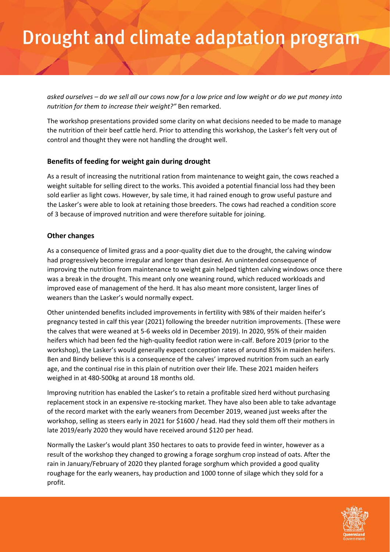# Drought and climate adaptation program

*asked ourselves – do we sell all our cows now for a low price and low weight or do we put money into nutrition for them to increase their weight?"* Ben remarked.

The workshop presentations provided some clarity on what decisions needed to be made to manage the nutrition of their beef cattle herd. Prior to attending this workshop, the Lasker's felt very out of control and thought they were not handling the drought well.

### **Benefits of feeding for weight gain during drought**

As a result of increasing the nutritional ration from maintenance to weight gain, the cows reached a weight suitable for selling direct to the works. This avoided a potential financial loss had they been sold earlier as light cows. However, by sale time, it had rained enough to grow useful pasture and the Lasker's were able to look at retaining those breeders. The cows had reached a condition score of 3 because of improved nutrition and were therefore suitable for joining.

#### **Other changes**

As a consequence of limited grass and a poor-quality diet due to the drought, the calving window had progressively become irregular and longer than desired. An unintended consequence of improving the nutrition from maintenance to weight gain helped tighten calving windows once there was a break in the drought. This meant only one weaning round, which reduced workloads and improved ease of management of the herd. It has also meant more consistent, larger lines of weaners than the Lasker's would normally expect.

Other unintended benefits included improvements in fertility with 98% of their maiden heifer's pregnancy tested in calf this year (2021) following the breeder nutrition improvements. (These were the calves that were weaned at 5-6 weeks old in December 2019). In 2020, 95% of their maiden heifers which had been fed the high-quality feedlot ration were in-calf. Before 2019 (prior to the workshop), the Lasker's would generally expect conception rates of around 85% in maiden heifers. Ben and Bindy believe this is a consequence of the calves' improved nutrition from such an early age, and the continual rise in this plain of nutrition over their life. These 2021 maiden heifers weighed in at 480-500kg at around 18 months old.

Improving nutrition has enabled the Lasker's to retain a profitable sized herd without purchasing replacement stock in an expensive re-stocking market. They have also been able to take advantage of the record market with the early weaners from December 2019, weaned just weeks after the workshop, selling as steers early in 2021 for \$1600 / head. Had they sold them off their mothers in late 2019/early 2020 they would have received around \$120 per head.

Normally the Lasker's would plant 350 hectares to oats to provide feed in winter, however as a result of the workshop they changed to growing a forage sorghum crop instead of oats. After the rain in January/February of 2020 they planted forage sorghum which provided a good quality roughage for the early weaners, hay production and 1000 tonne of silage which they sold for a profit.